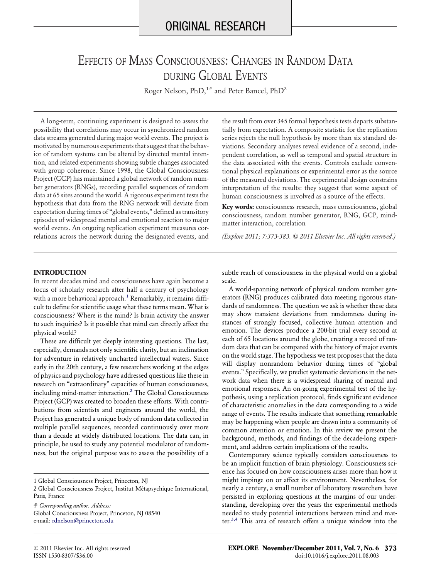# EFFECTS OF MASS CONSCIOUSNESS: CHANGES IN RANDOM DATA DURING GLOBAL EVENTS

Roger Nelson, PhD,<sup>1#</sup> and Peter Bancel, PhD<sup>2</sup>

A long-term, continuing experiment is designed to assess the possibility that correlations may occur in synchronized random data streams generated during major world events. The project is motivated by numerous experiments that suggest that the behavior of random systems can be altered by directed mental intention, and related experiments showing subtle changes associated with group coherence. Since 1998, the Global Consciousness Project (GCP) has maintained a global network of random number generators (RNGs), recording parallel sequences of random data at 65 sites around the world. A rigorous experiment tests the hypothesis that data from the RNG network will deviate from expectation during times of "global events," defined as transitory episodes of widespread mental and emotional reaction to major world events. An ongoing replication experiment measures correlations across the network during the designated events, and

the result from over 345 formal hypothesis tests departs substantially from expectation. A composite statistic for the replication series rejects the null hypothesis by more than six standard deviations. Secondary analyses reveal evidence of a second, independent correlation, as well as temporal and spatial structure in the data associated with the events. Controls exclude conventional physical explanations or experimental error as the source of the measured deviations. The experimental design constrains interpretation of the results: they suggest that some aspect of human consciousness is involved as a source of the effects.

**Key words:** consciousness research, mass consciousness, global consciousness, random number generator, RNG, GCP, mindmatter interaction, correlation

*(Explore 2011; 7:373-383. © 2011 Elsevier Inc. All rights reserved.)*

# **INTRODUCTION**

In recent decades mind and consciousness have again become a focus of scholarly research after half a century of psychology with a more behavioral approach.<sup>1</sup> Remarkably, it remains difficult to define for scientific usage what these terms mean. What is consciousness? Where is the mind? Is brain activity the answer to such inquiries? Is it possible that mind can directly affect the physical world?

These are difficult yet deeply interesting questions. The last, especially, demands not only scientific clarity, but an inclination for adventure in relatively uncharted intellectual waters. Since early in the 20th century, a few researchers working at the edges of physics and psychology have addressed questions like these in research on "extraordinary" capacities of human consciousness, including mind-matter interaction.2 The Global Consciousness Project (GCP) was created to broaden these efforts. With contributions from scientists and engineers around the world, the Project has generated a unique body of random data collected in multiple parallel sequences, recorded continuously over more than a decade at widely distributed locations. The data can, in principle, be used to study any potential modulator of randomness, but the original purpose was to assess the possibility of a

# *Corresponding author. Address:* Global Consciousness Project, Princeton, NJ 08540 e-mail: [rdnelson@princeton.edu](mailto:rdnelson@princeton.edu)

subtle reach of consciousness in the physical world on a global scale.

A world-spanning network of physical random number generators (RNG) produces calibrated data meeting rigorous standards of randomness. The question we ask is whether these data may show transient deviations from randomness during instances of strongly focused, collective human attention and emotion. The devices produce a 200-bit trial every second at each of 65 locations around the globe, creating a record of random data that can be compared with the history of major events on the world stage. The hypothesis we test proposes that the data will display nonrandom behavior during times of "global events." Specifically, we predict systematic deviations in the network data when there is a widespread sharing of mental and emotional responses. An on-going experimental test of the hypothesis, using a replication protocol, finds significant evidence of characteristic anomalies in the data corresponding to a wide range of events. The results indicate that something remarkable may be happening when people are drawn into a community of common attention or emotion. In this review we present the background, methods, and findings of the decade-long experiment, and address certain implications of the results.

Contemporary science typically considers consciousness to be an implicit function of brain physiology. Consciousness science has focused on how consciousness arises more than how it might impinge on or affect its environment. Nevertheless, for nearly a century, a small number of laboratory researchers have persisted in exploring questions at the margins of our understanding, developing over the years the experimental methods needed to study potential interactions between mind and matter.3,4 This area of research offers a unique window into the

<sup>1</sup> Global Consciousness Project, Princeton, NJ

<sup>2</sup> Global Consciousness Project, Institut Métapsychique International, Paris, France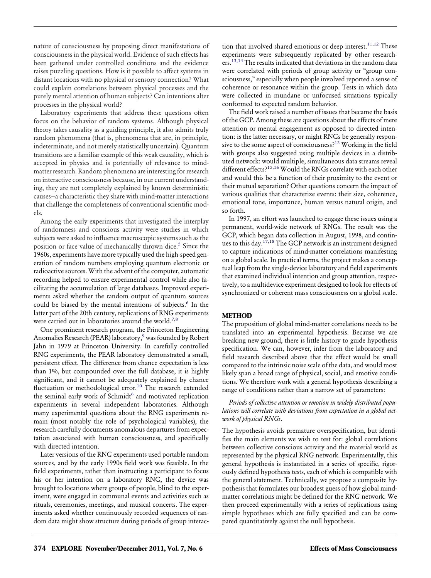nature of consciousness by proposing direct manifestations of consciousness in the physical world. Evidence of such effects has been gathered under controlled conditions and the evidence raises puzzling questions. How is it possible to affect systems in distant locations with no physical or sensory connection? What could explain correlations between physical processes and the purely mental attention of human subjects? Can intentions alter processes in the physical world?

Laboratory experiments that address these questions often focus on the behavior of random systems. Although physical theory takes causality as a guiding principle, it also admits truly random phenomena (that is, phenomena that are, in principle, indeterminate, and not merely statistically uncertain). Quantum transitions are a familiar example of this weak causality, which is accepted in physics and is potentially of relevance to mindmatter research. Random phenomena are interesting for research on interactive consciousness because, in our current understanding, they are not completely explained by known deterministic causes—a characteristic they share with mind-matter interactions that challenge the completeness of conventional scientific models.

Among the early experiments that investigated the interplay of randomness and conscious activity were studies in which subjects were asked to influence macroscopic systems such as the position or face value of mechanically thrown dice.<sup>5</sup> Since the 1960s, experiments have more typically used the high-speed generation of random numbers employing quantum electronic or radioactive sources. With the advent of the computer, automatic recording helped to ensure experimental control while also facilitating the accumulation of large databases. Improved experiments asked whether the random output of quantum sources could be biased by the mental intentions of subjects.<sup>6</sup> In the latter part of the 20th century, replications of RNG experiments were carried out in laboratories around the world.<sup>7,8</sup>

One prominent research program, the Princeton Engineering Anomalies Research (PEAR) laboratory,<sup>9</sup> was founded by Robert Jahn in 1979 at Princeton University. In carefully controlled RNG experiments, the PEAR laboratory demonstrated a small, persistent effect. The difference from chance expectation is less than 1%, but compounded over the full database, it is highly significant, and it cannot be adequately explained by chance fluctuation or methodological error.<sup>10</sup> The research extended the seminal early work of Schmidt<sup>6</sup> and motivated replication experiments in several independent laboratories. Although many experimental questions about the RNG experiments remain (most notably the role of psychological variables), the research carefully documents anomalous departures from expectation associated with human consciousness, and specifically with directed intention.

Later versions of the RNG experiments used portable random sources, and by the early 1990s field work was feasible. In the field experiments, rather than instructing a participant to focus his or her intention on a laboratory RNG, the device was brought to locations where groups of people, blind to the experiment, were engaged in communal events and activities such as rituals, ceremonies, meetings, and musical concerts. The experiments asked whether continuously recorded sequences of random data might show structure during periods of group interaction that involved shared emotions or deep interest.<sup>11,12</sup> These experiments were subsequently replicated by other researchers.13,14 The results indicated that deviations in the random data were correlated with periods of group activity or "group consciousness," especially when people involved reported a sense of coherence or resonance within the group. Tests in which data were collected in mundane or unfocused situations typically conformed to expected random behavior.

The field work raised a number of issues that became the basis of the GCP. Among these are questions about the effects of mere attention or mental engagement as opposed to directed intention: is the latter necessary, or might RNGs be generally responsive to the some aspect of consciousness?<sup>12</sup> Working in the field with groups also suggested using multiple devices in a distributed network: would multiple, simultaneous data streams reveal different effects?<sup>15,16</sup> Would the RNGs correlate with each other and would this be a function of their proximity to the event or their mutual separation? Other questions concern the impact of various qualities that characterize events: their size, coherence, emotional tone, importance, human versus natural origin, and so forth.

In 1997, an effort was launched to engage these issues using a permanent, world-wide network of RNGs. The result was the GCP, which began data collection in August, 1998, and continues to this day.<sup>17,18</sup> The GCP network is an instrument designed to capture indications of mind-matter correlations manifesting on a global scale. In practical terms, the project makes a conceptual leap from the single-device laboratory and field experiments that examined individual intention and group attention, respectively, to a multidevice experiment designed to look for effects of synchronized or coherent mass consciousness on a global scale.

## **METHOD**

The proposition of global mind-matter correlations needs to be translated into an experimental hypothesis. Because we are breaking new ground, there is little history to guide hypothesis specification. We can, however, infer from the laboratory and field research described above that the effect would be small compared to the intrinsic noise scale of the data, and would most likely span a broad range of physical, social, and emotive conditions. We therefore work with a general hypothesis describing a range of conditions rather than a narrow set of parameters:

*Periods of collective attention or emotion in widely distributed populations will correlate with deviations from expectation in a global network of physical RNGs*.

The hypothesis avoids premature overspecification, but identifies the main elements we wish to test for: global correlations between collective conscious activity and the material world as represented by the physical RNG network. Experimentally, this general hypothesis is instantiated in a series of specific, rigorously defined hypothesis tests, each of which is compatible with the general statement. Technically, we propose a composite hypothesis that formulates our broadest guess of how global mindmatter correlations might be defined for the RNG network. We then proceed experimentally with a series of replications using simple hypotheses which are fully specified and can be compared quantitatively against the null hypothesis.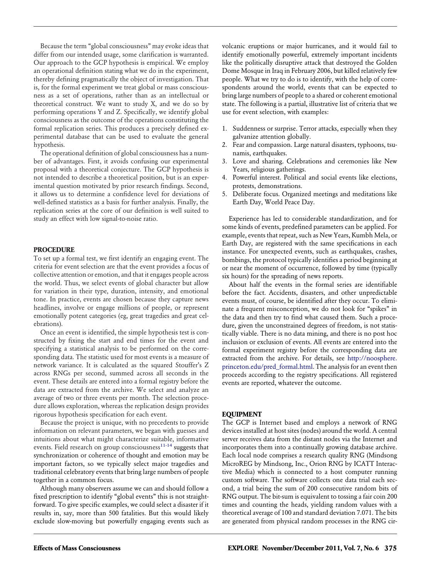Because the term "global consciousness" may evoke ideas that differ from our intended usage, some clarification is warranted. Our approach to the GCP hypothesis is empirical. We employ an operational definition stating what we do in the experiment, thereby defining pragmatically the object of investigation. That is, for the formal experiment we treat global or mass consciousness as a set of operations, rather than as an intellectual or theoretical construct. We want to study X, and we do so by performing operations Y and Z. Specifically, we identify global consciousness as the outcome of the operations constituting the formal replication series. This produces a precisely defined experimental database that can be used to evaluate the general hypothesis.

The operational definition of global consciousness has a number of advantages. First, it avoids confusing our experimental proposal with a theoretical conjecture. The GCP hypothesis is not intended to describe a theoretical position, but is an experimental question motivated by prior research findings. Second, it allows us to determine a confidence level for deviations of well-defined statistics as a basis for further analysis. Finally, the replication series at the core of our definition is well suited to study an effect with low signal-to-noise ratio.

## **PROCEDURE**

To set up a formal test, we first identify an engaging event. The criteria for event selection are that the event provides a focus of collective attention or emotion, and that it engages people across the world. Thus, we select events of global character but allow for variation in their type, duration, intensity, and emotional tone. In practice, events are chosen because they capture news headlines, involve or engage millions of people, or represent emotionally potent categories (eg, great tragedies and great celebrations).

Once an event is identified, the simple hypothesis test is constructed by fixing the start and end times for the event and specifying a statistical analysis to be performed on the corresponding data. The statistic used for most events is a measure of network variance. It is calculated as the squared Stouffer's Z across RNGs per second, summed across all seconds in the event. These details are entered into a formal registry before the data are extracted from the archive. We select and analyze an average of two or three events per month. The selection procedure allows exploration, whereas the replication design provides rigorous hypothesis specification for each event.

Because the project is unique, with no precedents to provide information on relevant parameters, we began with guesses and intuitions about what might characterize suitable, informative events. Field research on group consciousness $11-14$  suggests that synchronization or coherence of thought and emotion may be important factors, so we typically select major tragedies and traditional celebratory events that bring large numbers of people together in a common focus.

Although many observers assume we can and should follow a fixed prescription to identify "global events" this is not straightforward. To give specific examples, we could select a disaster if it results in, say, more than 500 fatalities. But this would likely exclude slow-moving but powerfully engaging events such as

volcanic eruptions or major hurricanes, and it would fail to identify emotionally powerful, extremely important incidents like the politically disruptive attack that destroyed the Golden Dome Mosque in Iraq in February 2006, but killed relatively few people. What we try to do is to identify, with the help of correspondents around the world, events that can be expected to bring large numbers of people to a shared or coherent emotional state. The following is a partial, illustrative list of criteria that we use for event selection, with examples:

- 1. Suddenness or surprise. Terror attacks, especially when they galvanize attention globally.
- 2. Fear and compassion. Large natural disasters, typhoons, tsunamis, earthquakes.
- 3. Love and sharing. Celebrations and ceremonies like New Years, religious gatherings.
- 4. Powerful interest. Political and social events like elections, protests, demonstrations.
- 5. Deliberate focus. Organized meetings and meditations like Earth Day, World Peace Day.

Experience has led to considerable standardization, and for some kinds of events, predefined parameters can be applied. For example, events that repeat, such as New Years, Kumbh Mela, or Earth Day, are registered with the same specifications in each instance. For unexpected events, such as earthquakes, crashes, bombings, the protocol typically identifies a period beginning at or near the moment of occurrence, followed by time (typically six hours) for the spreading of news reports.

About half the events in the formal series are identifiable before the fact. Accidents, disasters, and other unpredictable events must, of course, be identified after they occur. To eliminate a frequent misconception, we do not look for "spikes" in the data and then try to find what caused them. Such a procedure, given the unconstrained degrees of freedom, is not statistically viable. There is no data mining, and there is no post hoc inclusion or exclusion of events. All events are entered into the formal experiment registry before the corresponding data are extracted from the archive. For details, see [http://noosphere.](http://noosphere.princeton.edu/pred_formal.html) [princeton.edu/pred\\_formal.html.](http://noosphere.princeton.edu/pred_formal.html) The analysis for an event then proceeds according to the registry specifications. All registered events are reported, whatever the outcome.

## **EQUIPMENT**

The GCP is Internet based and employs a network of RNG devices installed at host sites (nodes) around the world. A central server receives data from the distant nodes via the Internet and incorporates them into a continually growing database archive. Each local node comprises a research quality RNG (Mindsong MicroREG by Mindsong, Inc., Orion RNG by ICATT Interactive Media) which is connected to a host computer running custom software. The software collects one data trial each second, a trial being the sum of 200 consecutive random bits of RNG output. The bit-sum is equivalent to tossing a fair coin 200 times and counting the heads, yielding random values with a theoretical average of 100 and standard deviation 7.071. The bits are generated from physical random processes in the RNG cir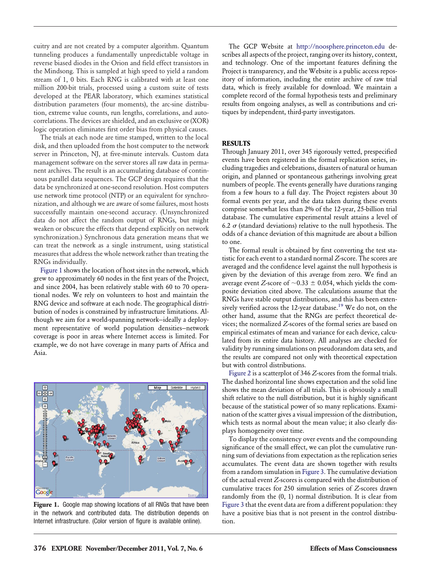cuitry and are not created by a computer algorithm. Quantum tunneling produces a fundamentally unpredictable voltage in reverse biased diodes in the Orion and field effect transistors in the Mindsong. This is sampled at high speed to yield a random stream of 1, 0 bits. Each RNG is calibrated with at least one million 200-bit trials, processed using a custom suite of tests developed at the PEAR laboratory, which examines statistical distribution parameters (four moments), the arc-sine distribution, extreme value counts, run lengths, correlations, and autocorrelations. The devices are shielded, and an exclusive or (XOR) logic operation eliminates first order bias from physical causes.

The trials at each node are time stamped, written to the local disk, and then uploaded from the host computer to the network server in Princeton, NJ, at five-minute intervals. Custom data management software on the server stores all raw data in permanent archives. The result is an accumulating database of continuous parallel data sequences. The GCP design requires that the data be synchronized at one-second resolution. Host computers use network time protocol (NTP) or an equivalent for synchronization, and although we are aware of some failures, most hosts successfully maintain one-second accuracy. (Unsynchronized data do not affect the random output of RNGs, but might weaken or obscure the effects that depend explicitly on network synchronization.) Synchronous data generation means that we can treat the network as a single instrument, using statistical measures that address the whole network rather than treating the RNGs individually.

Figure 1 shows the location of host sites in the network, which grew to approximately 60 nodes in the first years of the Project, and since 2004, has been relatively stable with 60 to 70 operational nodes. We rely on volunteers to host and maintain the RNG device and software at each node. The geographical distribution of nodes is constrained by infrastructure limitations. Although we aim for a world-spanning network—ideally a deployment representative of world population densities—network coverage is poor in areas where Internet access is limited. For example, we do not have coverage in many parts of Africa and Asia.



**Figure 1.** Google map showing locations of all RNGs that have been in the network and contributed data. The distribution depends on Internet infrastructure. (Color version of figure is available online).

The GCP Website at <http://noosphere.princeton.edu> describes all aspects of the project, ranging over its history, context, and technology. One of the important features defining the Project is transparency, and the Website is a public access repository of information, including the entire archive of raw trial data, which is freely available for download. We maintain a complete record of the formal hypothesis tests and preliminary results from ongoing analyses, as well as contributions and critiques by independent, third-party investigators.

## **RESULTS**

Through January 2011, over 345 rigorously vetted, prespecified events have been registered in the formal replication series, including tragedies and celebrations, disasters of natural or human origin, and planned or spontaneous gatherings involving great numbers of people. The events generally have durations ranging from a few hours to a full day. The Project registers about 30 formal events per year, and the data taken during these events comprise somewhat less than 2% of the 12-year, 25-billion trial database. The cumulative experimental result attains a level of 6.2  $\sigma$  (standard deviations) relative to the null hypothesis. The odds of a chance deviation of this magnitude are about a billion to one.

The formal result is obtained by first converting the test statistic for each event to a standard normal *Z*-score. The scores are averaged and the confidence level against the null hypothesis is given by the deviation of this average from zero. We find an average event Z-score of  ${\sim}0.33\pm0.054,$  which yields the composite deviation cited above. The calculations assume that the RNGs have stable output distributions, and this has been extensively verified across the 12-year database.<sup>19</sup> We do not, on the other hand, assume that the RNGs are perfect theoretical devices; the normalized *Z*-scores of the formal series are based on empirical estimates of mean and variance for each device, calculated from its entire data history. All analyses are checked for validity by running simulations on pseudorandom data sets, and the results are compared not only with theoretical expectation but with control distributions.

Figure 2 is a scatterplot of 346 *Z*-scores from the formal trials. The dashed horizontal line shows expectation and the solid line shows the mean deviation of all trials. This is obviously a small shift relative to the null distribution, but it is highly significant because of the statistical power of so many replications. Examination of the scatter gives a visual impression of the distribution, which tests as normal about the mean value; it also clearly displays homogeneity over time.

To display the consistency over events and the compounding significance of the small effect, we can plot the cumulative running sum of deviations from expectation as the replication series accumulates. The event data are shown together with results from a random simulation in Figure 3. The cumulative deviation of the actual event *Z*-scores is compared with the distribution of cumulative traces for 250 simulation series of *Z*-scores drawn randomly from the (0, 1) normal distribution. It is clear from Figure 3 that the event data are from a different population: they have a positive bias that is not present in the control distribution.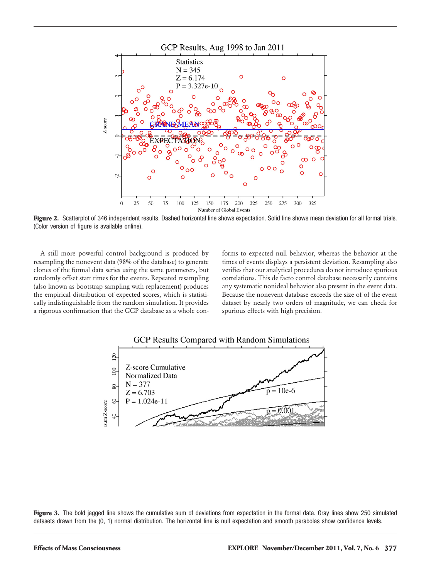

Figure 2. Scatterplot of 346 independent results. Dashed horizontal line shows expectation. Solid line shows mean deviation for all formal trials. (Color version of figure is available online).

A still more powerful control background is produced by resampling the nonevent data (98% of the database) to generate clones of the formal data series using the same parameters, but randomly offset start times for the events. Repeated resampling (also known as bootstrap sampling with replacement) produces the empirical distribution of expected scores, which is statistically indistinguishable from the random simulation. It provides a rigorous confirmation that the GCP database as a whole con-

forms to expected null behavior, whereas the behavior at the times of events displays a persistent deviation. Resampling also verifies that our analytical procedures do not introduce spurious correlations. This de facto control database necessarily contains any systematic nonideal behavior also present in the event data. Because the nonevent database exceeds the size of of the event dataset by nearly two orders of magnitude, we can check for spurious effects with high precision.

Figure 3. The bold jagged line shows the cumulative sum of deviations from expectation in the formal data. Gray lines show 250 simulated datasets drawn from the (0, 1) normal distribution. The horizontal line is null expectation and smooth parabolas show confidence levels.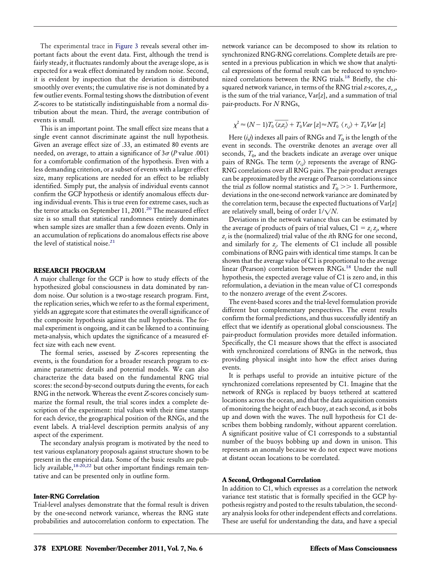The experimental trace in Figure 3 reveals several other important facts about the event data. First, although the trend is fairly steady, it fluctuates randomly about the average slope, as is expected for a weak effect dominated by random noise. Second, it is evident by inspection that the deviation is distributed smoothly over events; the cumulative rise is not dominated by a few outlier events. Formal testing shows the distribution of event *Z*-scores to be statistically indistinguishable from a normal distribution about the mean. Third, the average contribution of events is small.

This is an important point. The small effect size means that a single event cannot discriminate against the null hypothesis. Given an average effect size of .33, an estimated 80 events are needed, on average, to attain a significance of  $3\sigma$  (*P* value .001) for a comfortable confirmation of the hypothesis. Even with a less demanding criterion, or a subset of events with a larger effect size, many replications are needed for an effect to be reliably identified. Simply put, the analysis of individual events cannot confirm the GCP hypothesis or identify anomalous effects during individual events. This is true even for extreme cases, such as the terror attacks on September 11, 2001.<sup>20</sup> The measured effect size is so small that statistical randomness entirely dominates when sample sizes are smaller than a few dozen events. Only in an accumulation of replications do anomalous effects rise above the level of statistical noise.<sup>21</sup>

## **RESEARCH PROGRAM**

A major challenge for the GCP is how to study effects of the hypothesized global consciousness in data dominated by random noise. Our solution is a two-stage research program. First, the replication series, which we refer to as the formal experiment, yields an aggregate score that estimates the overall significance of the composite hypothesis against the null hypothesis. The formal experiment is ongoing, and it can be likened to a continuing meta-analysis, which updates the significance of a measured effect size with each new event.

The formal series, assessed by *Z*-scores representing the events, is the foundation for a broader research program to examine parametric details and potential models. We can also characterize the data based on the fundamental RNG trial scores: the second-by-second outputs during the events, for each RNG in the network. Whereas the event *Z*-scores concisely summarize the formal result, the trial scores index a complete description of the experiment: trial values with their time stamps for each device, the geographical position of the RNGs, and the event labels. A trial-level description permits analysis of any aspect of the experiment.

The secondary analysis program is motivated by the need to test various explanatory proposals against structure shown to be present in the empirical data. Some of the basic results are publicly available,  $18-20,22$  but other important findings remain tentative and can be presented only in outline form.

## **Inter-RNG Correlation**

Trial-level analyses demonstrate that the formal result is driven by the one-second network variance, whereas the RNG state probabilities and autocorrelation conform to expectation. The

network variance can be decomposed to show its relation to synchronized RNG-RNG correlations. Complete details are presented in a previous publication in which we show that analytical expressions of the formal result can be reduced to synchronized correlations between the RNG trials.<sup>18</sup> Briefly, the chisquared network variance, in terms of the RNG trial *z*-scores,  $z_{r,p}$ is the sum of the trial variance, Var[*z*], and a summation of trial pair-products. For *N* RNGs,<br> $\chi^2 \approx (N-1)T_0 \overline{\langle z z_j \rangle} + T_0$ 

$$
\chi^2 \approx (N-1)T_0 \langle z z_j \rangle + T_0 Var [z] \approx NT_0 \langle r_{ij} \rangle + T_0 Var [z]
$$

Here  $(i,j)$  indexes all pairs of RNGs and  $T_0$  is the length of the event in seconds. The overstrike denotes an average over all seconds,  $T<sub>0</sub>$ , and the brackets indicate an average over unique pairs of RNGs. The term  $\langle r_{i,j} \rangle$  represents the average of RNG-RNG correlations over all RNG pairs. The pair-product averages can be approximated by the average of Pearson correlations since the trial *zs* follow normal statistics and  $T_0 \gg 1$ . Furthermore, deviations in the one-second network variance are dominated by the correlation term, because the expected fluctuations of Var[*z*] are relatively small, being of order  $1/\sqrt{N}$ .

Deviations in the network variance thus can be estimated by the average of products of pairs of trial values,  $C1 = z_i z_j$ , where  $z_i$  is the (normalized) trial value of the *i*th RNG for one second, and similarly for *zj* . The elements of C1 include all possible combinations of RNG pairs with identical time stamps. It can be shown that the average value of C1 is proportional to the average linear (Pearson) correlation between RNGs.<sup>18</sup> Under the null hypothesis, the expected average value of C1 is zero and, in this reformulation, a deviation in the mean value of C1 corresponds to the nonzero average of the event *Z*-scores.

The event-based scores and the trial-level formulation provide different but complementary perspectives. The event results confirm the formal predictions, and thus successfully identify an effect that we identify as operational global consciousness. The pair-product formulation provides more detailed information. Specifically, the C1 measure shows that the effect is associated with synchronized correlations of RNGs in the network, thus providing physical insight into how the effect arises during events.

It is perhaps useful to provide an intuitive picture of the synchronized correlations represented by C1. Imagine that the network of RNGs is replaced by buoys tethered at scattered locations across the ocean, and that the data acquisition consists of monitoring the height of each buoy, at each second, as it bobs up and down with the waves. The null hypothesis for C1 describes them bobbing randomly, without apparent correlation. A significant positive value of C1 corresponds to a substantial number of the buoys bobbing up and down in unison. This represents an anomaly because we do not expect wave motions at distant ocean locations to be correlated.

#### **A Second, Orthogonal Correlation**

In addition to C1, which expresses as a correlation the network variance test statistic that is formally specified in the GCP hypothesis registry and posted to the results tabulation, the secondary analysis looks for other independent effects and correlations. These are useful for understanding the data, and have a special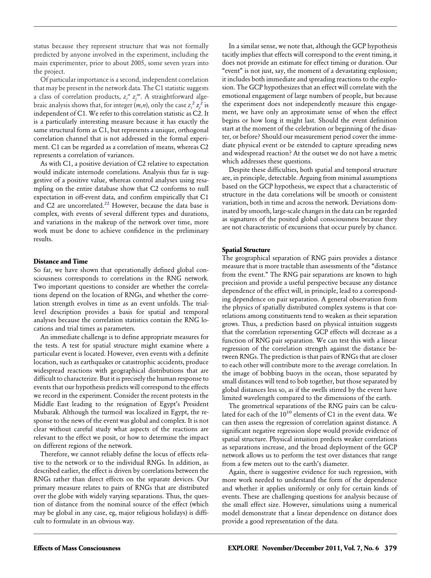status because they represent structure that was not formally predicted by anyone involved in the experiment, including the main experimenter, prior to about 2005, some seven years into the project.

Of particular importance is a second, independent correlation that may be present in the network data. The C1 statistic suggests a class of correlation products,  $z_i^{\,n} z_j^{\,m}$ . A straightforward algebraic analysis shows that, for integer  $(m,n)$ , only the case  $z_i^2 z_j^2$  is independent of C1. We refer to this correlation statistic as C2. It is a particularly interesting measure because it has exactly the same structural form as C1, but represents a unique, orthogonal correlation channel that is not addressed in the formal experiment. C1 can be regarded as a correlation of means, whereas C2 represents a correlation of variances.

As with C1, a positive deviation of C2 relative to expectation would indicate internode correlations. Analysis thus far is suggestive of a positive value, whereas control analyses using resampling on the entire database show that C2 conforms to null expectation in off-event data, and confirm empirically that C1 and C2 are uncorrelated.<sup>22</sup> However, because the data base is complex, with events of several different types and durations, and variations in the makeup of the network over time, more work must be done to achieve confidence in the preliminary results.

#### **Distance and Time**

So far, we have shown that operationally defined global consciousness corresponds to correlations in the RNG network. Two important questions to consider are whether the correlations depend on the location of RNGs, and whether the correlation strength evolves in time as an event unfolds. The triallevel description provides a basis for spatial and temporal analyses because the correlation statistics contain the RNG locations and trial times as parameters.

An immediate challenge is to define appropriate measures for the tests. A test for spatial structure might examine where a particular event is located. However, even events with a definite location, such as earthquakes or catastrophic accidents, produce widespread reactions with geographical distributions that are difficult to characterize. But it is precisely the human response to events that our hypothesis predicts will correspond to the effects we record in the experiment. Consider the recent protests in the Middle East leading to the resignation of Egypt's President Mubarak. Although the turmoil was localized in Egypt, the response to the news of the event was global and complex. It is not clear without careful study what aspects of the reactions are relevant to the effect we posit, or how to determine the impact on different regions of the network.

Therefore, we cannot reliably define the locus of effects relative to the network or to the individual RNGs. In addition, as described earlier, the effect is driven by correlations between the RNGs rather than direct effects on the separate devices. Our primary measure relates to pairs of RNGs that are distributed over the globe with widely varying separations. Thus, the question of distance from the nominal source of the effect (which may be global in any case, eg, major religious holidays) is difficult to formulate in an obvious way.

In a similar sense, we note that, although the GCP hypothesis tacitly implies that effects will correspond to the event timing, it does not provide an estimate for effect timing or duration. Our "event" is not just, say, the moment of a devastating explosion; it includes both immediate and spreading reactions to the explosion. The GCP hypothesizes that an effect will correlate with the emotional engagement of large numbers of people, but because the experiment does not independently measure this engagement, we have only an approximate sense of when the effect begins or how long it might last. Should the event definition start at the moment of the celebration or beginning of the disaster, or before? Should our measurement period cover the immediate physical event or be extended to capture spreading news and widespread reaction? At the outset we do not have a metric which addresses these questions.

Despite these difficulties, both spatial and temporal structure are, in principle, detectable. Arguing from minimal assumptions based on the GCP hypothesis, we expect that a characteristic of structure in the data correlations will be smooth or consistent variation, both in time and across the network. Deviations dominated by smooth, large-scale changes in the data can be regarded as signatures of the posited global consciousness because they are not characteristic of excursions that occur purely by chance.

#### **Spatial Structure**

The geographical separation of RNG pairs provides a distance measure that is more tractable than assessments of the "distance from the event." The RNG pair separations are known to high precision and provide a useful perspective because any distance dependence of the effect will, in principle, lead to a corresponding dependence on pair separation. A general observation from the physics of spatially distributed complex systems is that correlations among constituents tend to weaken as their separation grows. Thus, a prediction based on physical intuition suggests that the correlation representing GCP effects will decrease as a function of RNG pair separation. We can test this with a linear regression of the correlation strength against the distance between RNGs. The prediction is that pairs of RNGs that are closer to each other will contribute more to the average correlation. In the image of bobbing buoys in the ocean, those separated by small distances will tend to bob together, but those separated by global distances less so, as if the swells stirred by the event have limited wavelength compared to the dimensions of the earth.

The geometrical separations of the RNG pairs can be calculated for each of the  $10^{10}$  elements of C1 in the event data. We can then assess the regression of correlation against distance. A significant negative regression slope would provide evidence of spatial structure. Physical intuition predicts weaker correlations as separations increase, and the broad deployment of the GCP network allows us to perform the test over distances that range from a few meters out to the earth's diameter.

Again, there is suggestive evidence for such regression, with more work needed to understand the form of the dependence and whether it applies uniformly or only for certain kinds of events. These are challenging questions for analysis because of the small effect size. However, simulations using a numerical model demonstrate that a linear dependence on distance does provide a good representation of the data.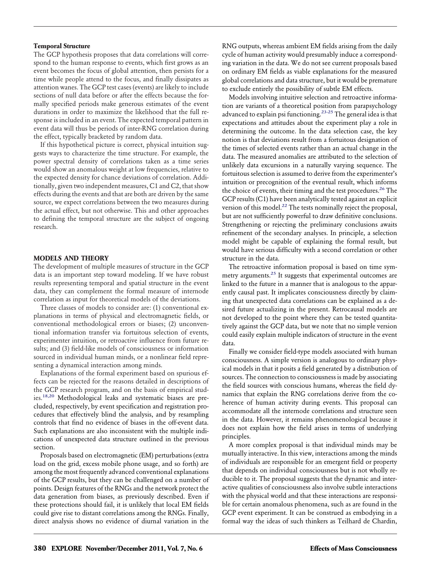### **Temporal Structure**

The GCP hypothesis proposes that data correlations will correspond to the human response to events, which first grows as an event becomes the focus of global attention, then persists for a time while people attend to the focus, and finally dissipates as attention wanes. The GCP test cases (events) are likely to include sections of null data before or after the effects because the formally specified periods make generous estimates of the event durations in order to maximize the likelihood that the full response is included in an event. The expected temporal pattern in event data will thus be periods of inter-RNG correlation during the effect, typically bracketed by random data.

If this hypothetical picture is correct, physical intuition suggests ways to characterize the time structure. For example, the power spectral density of correlations taken as a time series would show an anomalous weight at low frequencies, relative to the expected density for chance deviations of correlation. Additionally, given two independent measures, C1 and C2, that show effects during the events and that are both are driven by the same source, we expect correlations between the two measures during the actual effect, but not otherwise. This and other approaches to defining the temporal structure are the subject of ongoing research.

# **MODELS AND THEORY**

The development of multiple measures of structure in the GCP data is an important step toward modeling. If we have robust results representing temporal and spatial structure in the event data, they can complement the formal measure of internode correlation as input for theoretical models of the deviations.

Three classes of models to consider are: (1) conventional explanations in terms of physical and electromagnetic fields, or conventional methodological errors or biases; (2) unconventional information transfer via fortuitous selection of events, experimenter intuition, or retroactive influence from future results; and (3) field-like models of consciousness or information sourced in individual human minds, or a nonlinear field representing a dynamical interaction among minds.

Explanations of the formal experiment based on spurious effects can be rejected for the reasons detailed in descriptions of the GCP research program, and on the basis of empirical studies.18,20 Methodological leaks and systematic biases are precluded, respectively, by event specification and registration procedures that effectively blind the analysis, and by resampling controls that find no evidence of biases in the off-event data. Such explanations are also inconsistent with the multiple indications of unexpected data structure outlined in the previous section.

Proposals based on electromagnetic (EM) perturbations (extra load on the grid, excess mobile phone usage, and so forth) are among the most frequently advanced conventional explanations of the GCP results, but they can be challenged on a number of points. Design features of the RNGs and the network protect the data generation from biases, as previously described. Even if these protections should fail, it is unlikely that local EM fields could give rise to distant correlations among the RNGs. Finally, direct analysis shows no evidence of diurnal variation in the

RNG outputs, whereas ambient EM fields arising from the daily cycle of human activity would presumably induce a corresponding variation in the data. We do not see current proposals based on ordinary EM fields as viable explanations for the measured global correlations and data structure, but it would be premature to exclude entirely the possibility of subtle EM effects.

Models involving intuitive selection and retroactive information are variants of a theoretical position from parapsychology advanced to explain psi functioning.23-25 The general idea is that expectations and attitudes about the experiment play a role in determining the outcome. In the data selection case, the key notion is that deviations result from a fortuitous designation of the times of selected events rather than an actual change in the data. The measured anomalies are attributed to the selection of unlikely data excursions in a naturally varying sequence. The fortuitous selection is assumed to derive from the experimenter's intuition or precognition of the eventual result, which informs the choice of events, their timing and the test procedures.<sup>26</sup> The GCP results (C1) have been analytically tested against an explicit version of this model.<sup>22</sup> The tests nominally reject the proposal, but are not sufficiently powerful to draw definitive conclusions. Strengthening or rejecting the preliminary conclusions awaits refinement of the secondary analyses. In principle, a selection model might be capable of explaining the formal result, but would have serious difficulty with a second correlation or other structure in the data.

The retroactive information proposal is based on time symmetry arguments.<sup>25</sup> It suggests that experimental outcomes are linked to the future in a manner that is analogous to the apparently causal past. It implicates consciousness directly by claiming that unexpected data correlations can be explained as a desired future actualizing in the present. Retrocausal models are not developed to the point where they can be tested quantitatively against the GCP data, but we note that no simple version could easily explain multiple indicators of structure in the event data.

Finally we consider field-type models associated with human consciousness. A simple version is analogous to ordinary physical models in that it posits a field generated by a distribution of sources. The connection to consciousness is made by associating the field sources with conscious humans, whereas the field dynamics that explain the RNG correlations derive from the coherence of human activity during events. This proposal can accommodate all the internode correlations and structure seen in the data. However, it remains phenomenological because it does not explain how the field arises in terms of underlying principles.

A more complex proposal is that individual minds may be mutually interactive. In this view, interactions among the minds of individuals are responsible for an emergent field or property that depends on individual consciousness but is not wholly reducible to it. The proposal suggests that the dynamic and interactive qualities of consciousness also involve subtle interactions with the physical world and that these interactions are responsible for certain anomalous phenomena, such as are found in the GCP event experiment. It can be construed as embodying in a formal way the ideas of such thinkers as Teilhard de Chardin,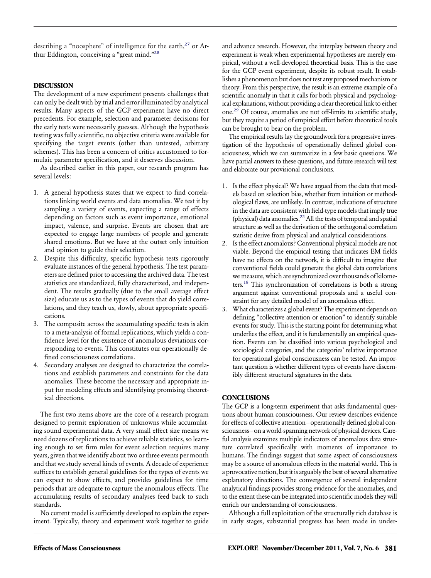describing a "noosphere" of intelligence for the earth,<sup>27</sup> or Arthur Eddington, conceiving a "great mind."28

# **DISCUSSION**

The development of a new experiment presents challenges that can only be dealt with by trial and error illuminated by analytical results. Many aspects of the GCP experiment have no direct precedents. For example, selection and parameter decisions for the early tests were necessarily guesses. Although the hypothesis testing was fully scientific, no objective criteria were available for specifying the target events (other than untested, arbitrary schemes). This has been a concern of critics accustomed to formulaic parameter specification, and it deserves discussion.

As described earlier in this paper, our research program has several levels:

- 1. A general hypothesis states that we expect to find correlations linking world events and data anomalies. We test it by sampling a variety of events, expecting a range of effects depending on factors such as event importance, emotional impact, valence, and surprise. Events are chosen that are expected to engage large numbers of people and generate shared emotions. But we have at the outset only intuition and opinion to guide their selection.
- 2. Despite this difficulty, specific hypothesis tests rigorously evaluate instances of the general hypothesis. The test parameters are defined prior to accessing the archived data. The test statistics are standardized, fully characterized, and independent. The results gradually (due to the small average effect size) educate us as to the types of events that do yield correlations, and they teach us, slowly, about appropriate specifications.
- 3. The composite across the accumulating specific tests is akin to a meta-analysis of formal replications, which yields a confidence level for the existence of anomalous deviations corresponding to events. This constitutes our operationally defined consciousness correlations.
- 4. Secondary analyses are designed to characterize the correlations and establish parameters and constraints for the data anomalies. These become the necessary and appropriate input for modeling effects and identifying promising theoretical directions.

The first two items above are the core of a research program designed to permit exploration of unknowns while accumulating sound experimental data. A very small effect size means we need dozens of replications to achieve reliable statistics, so learning enough to set firm rules for event selection requires many years, given that we identify about two or three events per month and that we study several kinds of events. A decade of experience suffices to establish general guidelines for the types of events we can expect to show effects, and provides guidelines for time periods that are adequate to capture the anomalous effects. The accumulating results of secondary analyses feed back to such standards.

No current model is sufficiently developed to explain the experiment. Typically, theory and experiment work together to guide and advance research. However, the interplay between theory and experiment is weak when experimental hypotheses are merely empirical, without a well-developed theoretical basis. This is the case for the GCP event experiment, despite its robust result. It establishes a phenomenon but does not test any proposed mechanism or theory. From this perspective, the result is an extreme example of a scientific anomaly in that it calls for both physical and psychological explanations, without providing a clear theoretical link to either one.29 Of course, anomalies are not off-limits to scientific study, but they require a period of empirical effort before theoretical tools can be brought to bear on the problem.

The empirical results lay the groundwork for a progressive investigation of the hypothesis of operationally defined global consciousness, which we can summarize in a few basic questions. We have partial answers to these questions, and future research will test and elaborate our provisional conclusions.

- 1. Is the effect physical? We have argued from the data that models based on selection bias, whether from intuition or methodological flaws, are unlikely. In contrast, indications of structure in the data are consistent with field-type models that imply true (physical) data anomalies.<sup>22</sup> All the tests of temporal and spatial structure as well as the derivation of the orthogonal correlation statistic derive from physical and analytical considerations.
- 2. Is the effect anomalous? Conventional physical models are not viable. Beyond the empirical testing that indicates EM fields have no effects on the network, it is difficult to imagine that conventional fields could generate the global data correlations we measure, which are synchronized over thousands of kilometers.18 This synchronization of correlations is both a strong argument against conventional proposals and a useful constraint for any detailed model of an anomalous effect.
- 3. What characterizes a global event? The experiment depends on defining "collective attention or emotion" to identify suitable events for study. This is the starting point for determining what underlies the effect, and it is fundamentally an empirical question. Events can be classified into various psychological and sociological categories, and the categories' relative importance for operational global consciousness can be tested. An important question is whether different types of events have discernibly different structural signatures in the data.

#### **CONCLUSIONS**

The GCP is a long-term experiment that asks fundamental questions about human consciousness. Our review describes evidence for effects of collective attention—operationally defined global consciousness—on a world-spanning network of physical devices. Careful analysis examines multiple indicators of anomalous data structure correlated specifically with moments of importance to humans. The findings suggest that some aspect of consciousness may be a source of anomalous effects in the material world. This is a provocative notion, but it is arguably the best of several alternative explanatory directions. The convergence of several independent analytical findings provides strong evidence for the anomalies, and to the extent these can be integrated into scientific models they will enrich our understanding of consciousness.

Although a full exploitation of the structurally rich database is in early stages, substantial progress has been made in under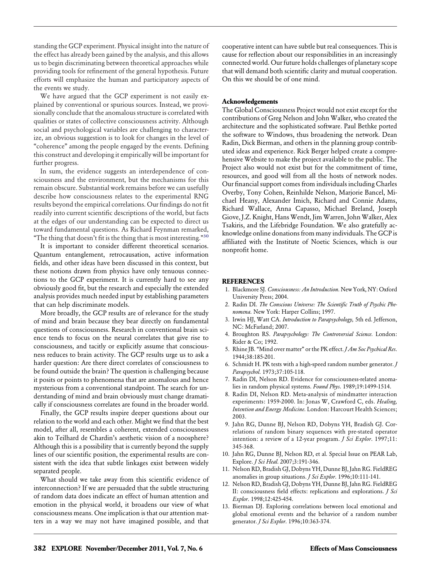standing the GCP experiment. Physical insight into the nature of the effect has already been gained by the analysis, and this allows us to begin discriminating between theoretical approaches while providing tools for refinement of the general hypothesis. Future efforts will emphasize the human and participatory aspects of the events we study.

We have argued that the GCP experiment is not easily explained by conventional or spurious sources. Instead, we provisionally conclude that the anomalous structure is correlated with qualities or states of collective consciousness activity. Although social and psychological variables are challenging to characterize, an obvious suggestion is to look for changes in the level of "coherence" among the people engaged by the events. Defining this construct and developing it empirically will be important for further progress.

In sum, the evidence suggests an interdependence of consciousness and the environment, but the mechanisms for this remain obscure. Substantial work remains before we can usefully describe how consciousness relates to the experimental RNG results beyond the empirical correlations. Our findings do not fit readily into current scientific descriptions of the world, but facts at the edges of our understanding can be expected to direct us toward fundamental questions. As Richard Feynman remarked, "The thing that doesn't fit is the thing that is most interesting."30

It is important to consider different theoretical scenarios. Quantum entanglement, retrocausation, active information fields, and other ideas have been discussed in this context, but these notions drawn from physics have only tenuous connections to the GCP experiment. It is currently hard to see any obviously good fit, but the research and especially the extended analysis provides much needed input by establishing parameters that can help discriminate models.

More broadly, the GCP results are of relevance for the study of mind and brain because they bear directly on fundamental questions of consciousness. Research in conventional brain science tends to focus on the neural correlates that give rise to consciousness, and tacitly or explicitly assume that consciousness reduces to brain activity. The GCP results urge us to ask a harder question: Are there direct correlates of consciousness to be found outside the brain? The question is challenging because it posits or points to phenomena that are anomalous and hence mysterious from a conventional standpoint. The search for understanding of mind and brain obviously must change dramatically if consciousness correlates are found in the broader world.

Finally, the GCP results inspire deeper questions about our relation to the world and each other. Might we find that the best model, after all, resembles a coherent, extended consciousness akin to Teilhard de Chardin's aesthetic vision of a noosphere? Although this is a possibility that is currently beyond the supply lines of our scientific position, the experimental results are consistent with the idea that subtle linkages exist between widely separated people.

What should we take away from this scientific evidence of interconnection? If we are persuaded that the subtle structuring of random data does indicate an effect of human attention and emotion in the physical world, it broadens our view of what consciousness means. One implication is that our attention matters in a way we may not have imagined possible, and that cooperative intent can have subtle but real consequences. This is cause for reflection about our responsibilities in an increasingly connected world. Our future holds challenges of planetary scope that will demand both scientific clarity and mutual cooperation. On this we should be of one mind.

#### **Acknowledgements**

The Global Consciousness Project would not exist except for the contributions of Greg Nelson and John Walker, who created the architecture and the sophisticated software. Paul Bethke ported the software to Windows, thus broadening the network. Dean Radin, Dick Bierman, and others in the planning group contributed ideas and experience. Rick Berger helped create a comprehensive Website to make the project available to the public. The Project also would not exist but for the commitment of time, resources, and good will from all the hosts of network nodes. Our financial support comes from individuals including Charles Overby, Tony Cohen, Reinhilde Nelson, Marjorie Bancel, Michael Heany, Alexander Imich, Richard and Connie Adams, Richard Wallace, Anna Capasso, Michael Breland, Joseph Giove, J.Z. Knight, Hans Wendt, Jim Warren, John Walker, Alex Tsakiris, and the Lifebridge Foundation. We also gratefully acknowledge online donations from many individuals. The GCP is affiliated with the Institute of Noetic Sciences, which is our nonprofit home.

#### **REFERENCES**

- 1. Blackmore SJ. *Consciousness: An Introduction.* New York, NY: Oxford University Press; 2004.
- 2. Radin DI. *The Conscious Universe: The Scientific Truth of Psychic Phenomena.* New York: Harper Collins; 1997.
- 3. Irwin HJ, Watt CA. *Introduction to Parapsychology,* 5th ed. Jefferson, NC: McFarland; 2007.
- 4. Broughton RS. *Parapsychology: The Controversial Science.* London: Rider & Co; 1992.
- 5. Rhine JB. "Mind over matter" or the PK effect. *J Am Soc Psychical Res*. 1944;38:185-201.
- 6. Schmidt H. PK tests with a high-speed random number generator. *J Parapsychol*. 1973;37:105-118.
- 7. Radin DI, Nelson RD. Evidence for consciousness-related anomalies in random physical systems. *Found Phys*. 1989;19:1499-1514.
- 8. Radin DI, Nelson RD. Meta-analysis of mindmatter interaction experiments: 1959-2000. In: Jonas W, Crawford C, eds. *Healing, Intention and Energy Medicine.* London: Harcourt Health Sciences; 2003.
- 9. Jahn RG, Dunne BJ, Nelson RD, Dobyns YH, Bradish GJ. Correlations of random binary sequences with pre-stated operator intention: a review of a 12-year program. *J Sci Explor*. 1997;11: 345-368.
- 10. Jahn RG, Dunne BJ, Nelson RD, et al. Special Issue on PEAR Lab, Explore. *J Sci Heal*. 2007;3:191-346.
- 11. Nelson RD, Bradish GJ, Dobyns YH, Dunne BJ, Jahn RG. FieldREG anomalies in group situations. *J Sci Explor*. 1996;10:111-141.
- 12. Nelson RD, Bradish GJ, Dobyns YH, Dunne BJ, Jahn RG. FieldREG II: consciousness field effects: replications and explorations. *J Sci Explor*. 1998;12:425-454.
- 13. Bierman DJ. Exploring correlations between local emotional and global emotional events and the behavior of a random number generator. *J Sci Explor*. 1996;10:363-374.